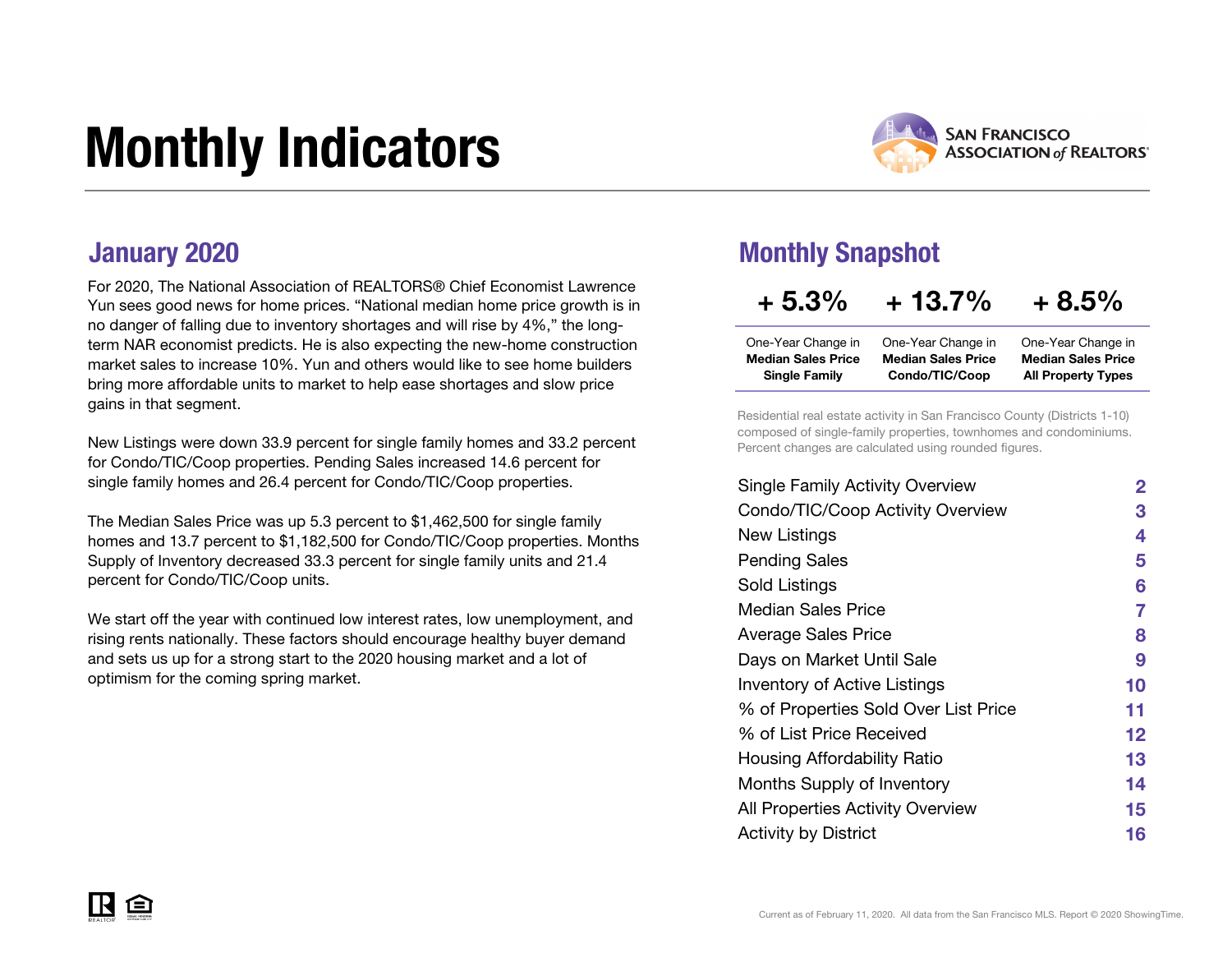# Monthly Indicators



For 2020, The National Association of REALTORS® Chief Economist Lawrence Yun sees good news for home prices. "National median home price growth is in no danger of falling due to inventory shortages and will rise by 4%," the longterm NAR economist predicts. He is also expecting the new-home construction market sales to increase 10%. Yun and others would like to see home builders bring more affordable units to market to help ease shortages and slow price gains in that segment.

New Listings were down 33.9 percent for single family homes and 33.2 percent for Condo/TIC/Coop properties. Pending Sales increased 14.6 percent for single family homes and 26.4 percent for Condo/TIC/Coop properties.

The Median Sales Price was up 5.3 percent to \$1,462,500 for single family homes and 13.7 percent to \$1,182,500 for Condo/TIC/Coop properties. Months Supply of Inventory decreased 33.3 percent for single family units and 21.4 percent for Condo/TIC/Coop units.

We start off the year with continued low interest rates, low unemployment, and rising rents nationally. These factors should encourage healthy buyer demand and sets us up for a strong start to the 2020 housing market and a lot of optimism for the coming spring market.

### **January 2020** Monthly Snapshot

### $+5.3\%$   $+13.7\%$   $+8.5\%$

| One-Year Change in        | One-Year Change in        | One-Year Change in        |
|---------------------------|---------------------------|---------------------------|
| <b>Median Sales Price</b> | <b>Median Sales Price</b> | <b>Median Sales Price</b> |
| <b>Single Family</b>      | Condo/TIC/Coop            | <b>All Property Types</b> |

Residential real estate activity in San Francisco County (Districts 1-10) composed of single-family properties, townhomes and condominiums. Percent changes are calculated using rounded figures.

| <b>Single Family Activity Overview</b> | $\mathbf{2}$ |
|----------------------------------------|--------------|
| Condo/TIC/Coop Activity Overview       | З            |
| New Listings                           | 4            |
| <b>Pending Sales</b>                   | 5            |
| <b>Sold Listings</b>                   | 6            |
| Median Sales Price                     | 7            |
| <b>Average Sales Price</b>             | 8            |
| Days on Market Until Sale              | 9            |
| <b>Inventory of Active Listings</b>    | 10           |
| % of Properties Sold Over List Price   | 11           |
| % of List Price Received               | 12           |
| Housing Affordability Ratio            | 13           |
| Months Supply of Inventory             | 14           |
| All Properties Activity Overview       | 15           |
| <b>Activity by District</b>            | 16           |
|                                        |              |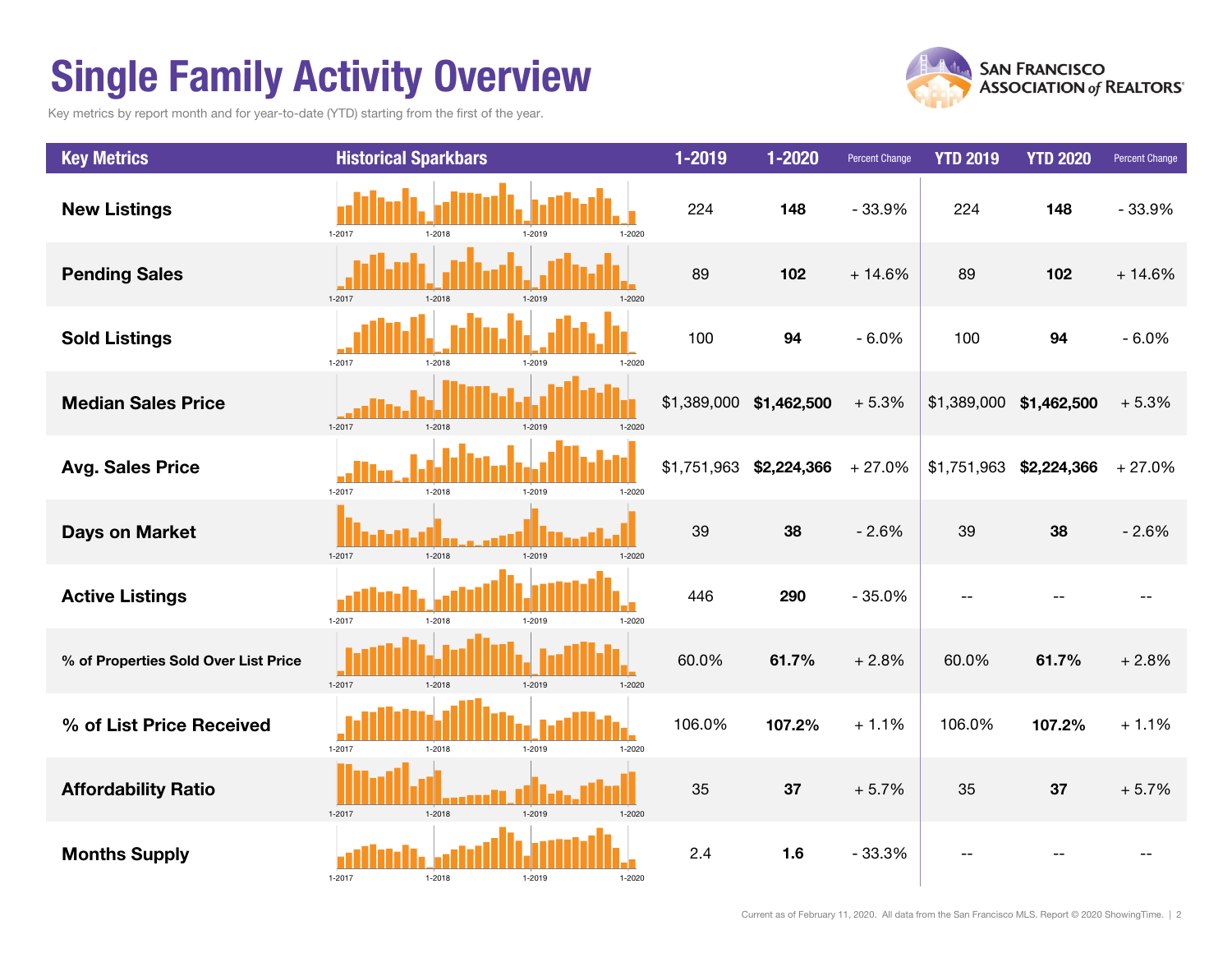# Single Family Activity Overview

Key metrics by report month and for year-to-date (YTD) starting from the first of the year.



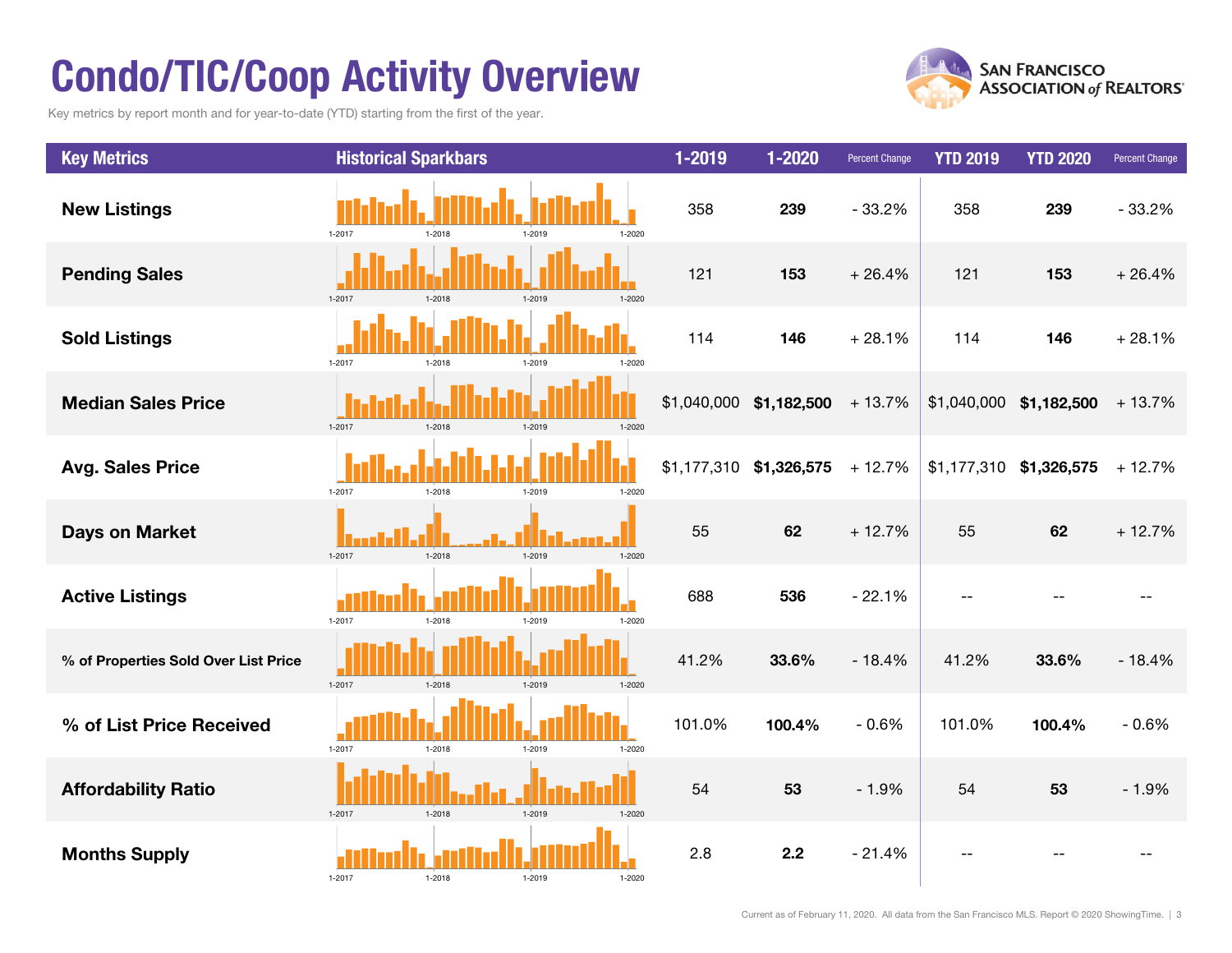# Condo/TIC/Coop Activity Overview

Key metrics by report month and for year-to-date (YTD) starting from the first of the year.



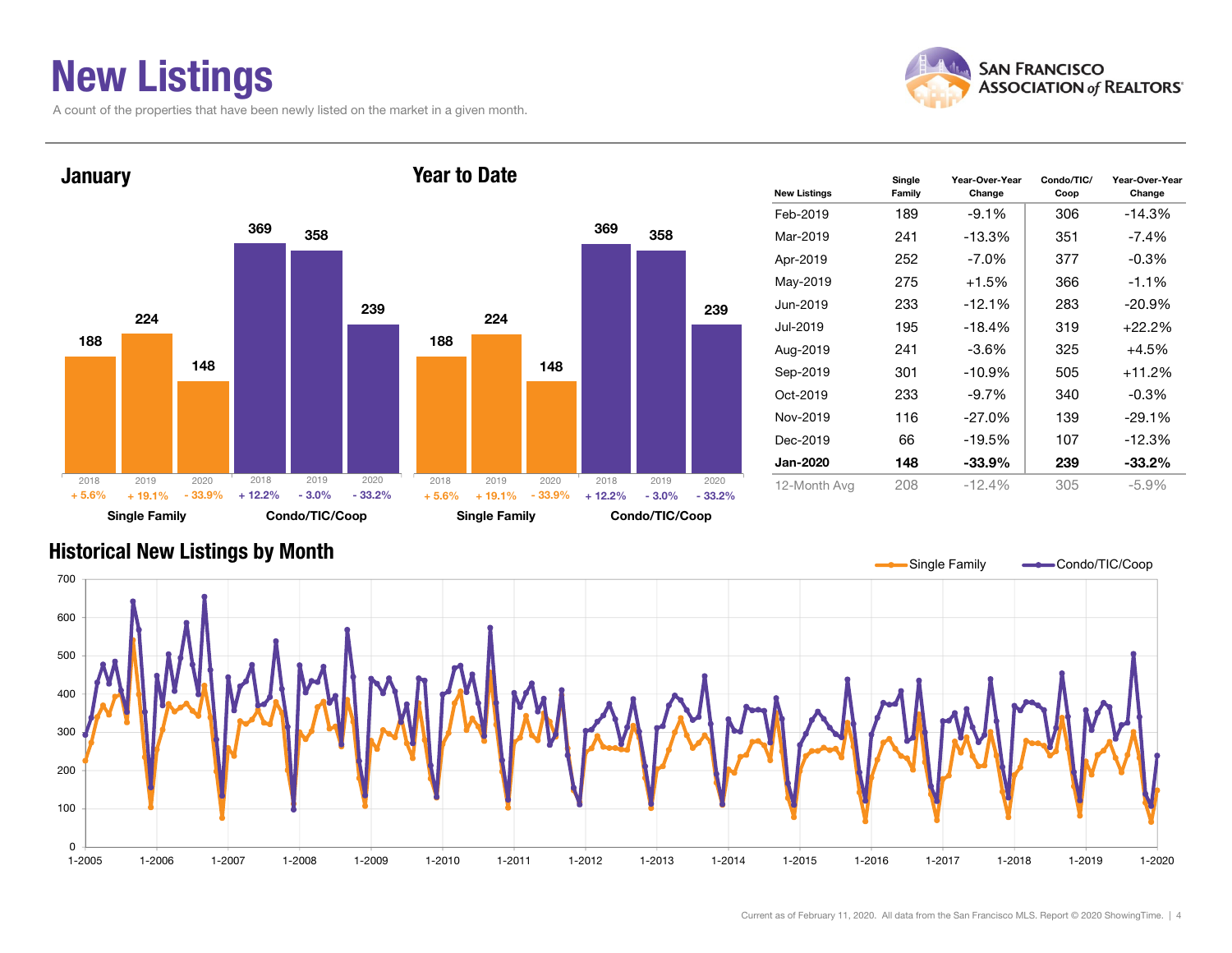## New Listings

A count of the properties that have been newly listed on the market in a given month.





| <b>New Listings</b> | Single<br>Family | Year-Over-Year<br>Change | Condo/TIC/<br>Coop | Year-Over-Year<br>Change |
|---------------------|------------------|--------------------------|--------------------|--------------------------|
| Feb-2019            | 189              | $-9.1\%$                 | 306                | $-14.3\%$                |
| Mar-2019            | 241              | $-13.3%$                 | 351                | $-7.4\%$                 |
| Apr-2019            | 252              | $-7.0\%$                 | 377                | $-0.3\%$                 |
| May-2019            | 275              | $+1.5%$                  | 366                | $-1.1%$                  |
| Jun-2019            | 233              | $-12.1%$                 | 283                | $-20.9%$                 |
| Jul-2019            | 195              | $-18.4%$                 | 319                | +22.2%                   |
| Aug-2019            | 241              | $-3.6%$                  | 325                | $+4.5%$                  |
| Sep-2019            | 301              | $-10.9%$                 | 505                | +11.2%                   |
| $Oct-2019$          | 233              | $-9.7%$                  | 340                | $-0.3\%$                 |
| Nov-2019            | 116              | $-27.0\%$                | 139                | $-29.1%$                 |
| Dec-2019            | 66               | $-19.5%$                 | 107                | $-12.3%$                 |
| <b>Jan-2020</b>     | 148              | $-33.9%$                 | 239                | $-33.2\%$                |
| 12-Month Avg        | 208              | $-12.4%$                 | 305                | $-5.9%$                  |

### Historical New Listings by Month

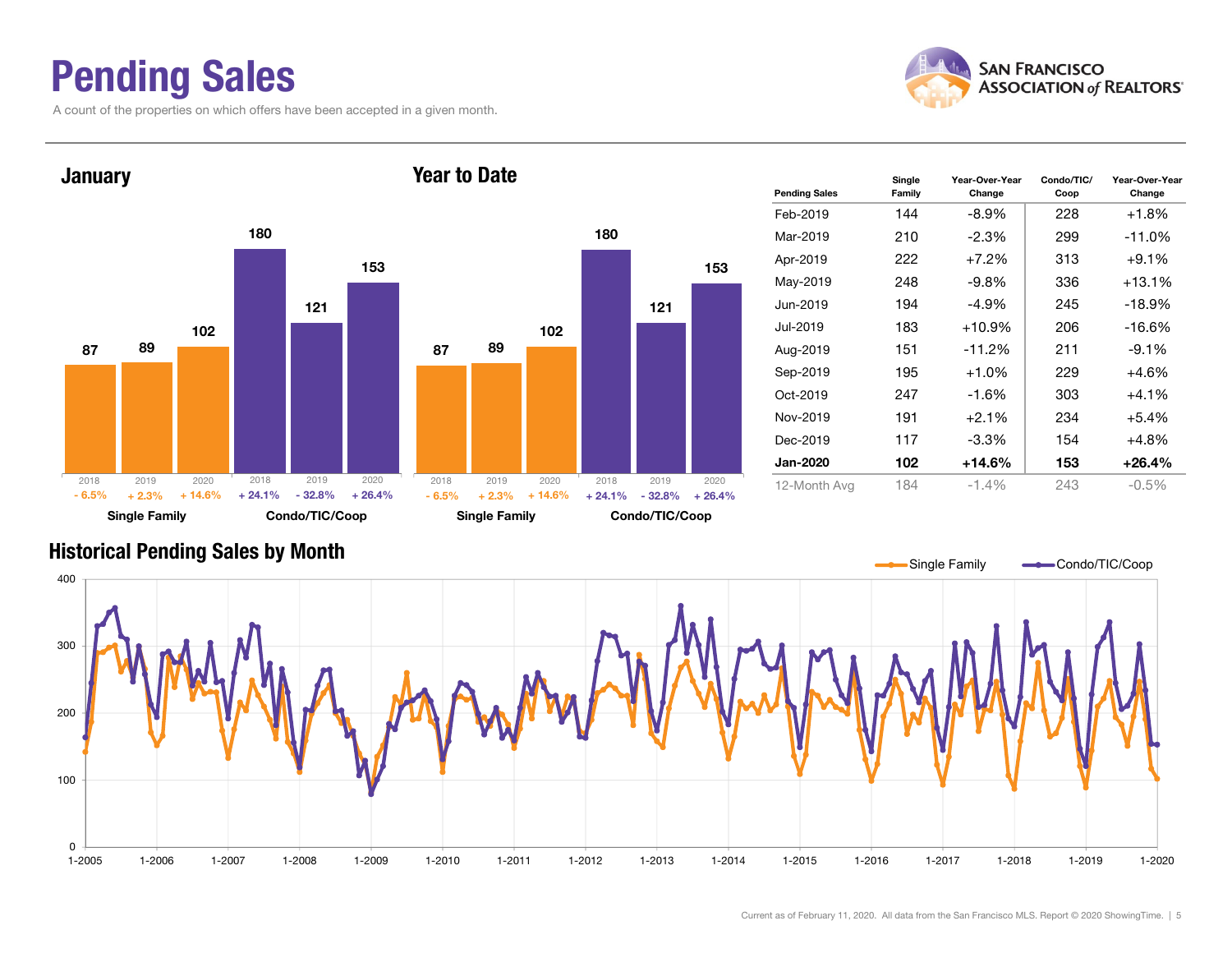### Pending Sales

A count of the properties on which offers have been accepted in a given month.





| <b>Pending Sales</b> | Single<br>Family | Year-Over-Year<br>Change | Condo/TIC/<br>Coop | Year-Over-Year<br>Change |
|----------------------|------------------|--------------------------|--------------------|--------------------------|
| Feb-2019             | 144              | $-8.9\%$                 | 228                | $+1.8%$                  |
| Mar-2019             | 210              | $-2.3\%$                 | 299                | $-11.0%$                 |
| Apr-2019             | 222              | $+7.2%$                  | 313                | $+9.1%$                  |
| May-2019             | 248              | $-9.8%$                  | 336                | $+13.1%$                 |
| Jun-2019             | 194              | $-4.9%$                  | 245                | $-18.9%$                 |
| Jul-2019             | 183              | $+10.9%$                 | 206                | $-16.6%$                 |
| Aug-2019             | 151              | $-11.2%$                 | 211                | $-9.1%$                  |
| Sep-2019             | 195              | $+1.0%$                  | 229                | $+4.6%$                  |
| Oct-2019             | 247              | $-1.6%$                  | 303                | $+4.1%$                  |
| Nov-2019             | 191              | $+2.1%$                  | 234                | $+5.4%$                  |
| Dec-2019             | 117              | $-3.3\%$                 | 154                | $+4.8%$                  |
| <b>Jan-2020</b>      | 102              | $+14.6%$                 | 153                | $+26.4%$                 |
| 12-Month Avg         | 184              | $-1.4\%$                 | 243                | $-0.5\%$                 |

#### Historical Pending Sales by Month

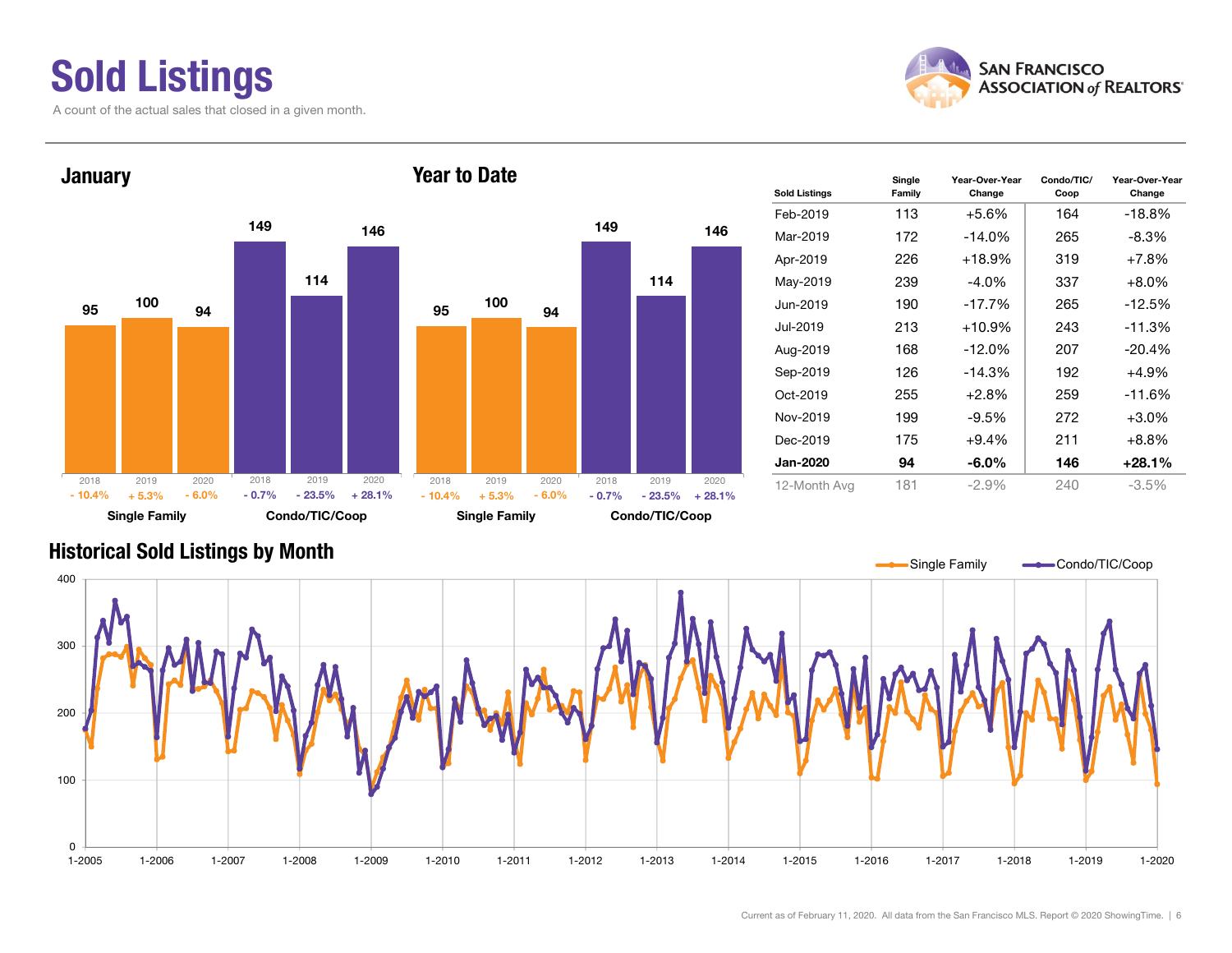# Sold Listings

A count of the actual sales that closed in a given month.





| <b>Sold Listings</b> | Single<br>Family | Year-Over-Year<br>Change | Condo/TIC/<br>Coop | Year-Over-Year<br>Change |
|----------------------|------------------|--------------------------|--------------------|--------------------------|
| Feb-2019             | 113              | $+5.6%$                  | 164                | $-18.8%$                 |
| Mar-2019             | 172              | $-14.0%$                 | 265                | $-8.3\%$                 |
| Apr-2019             | 226              | $+18.9%$                 | 319                | $+7.8%$                  |
| May-2019             | 239              | $-4.0\%$                 | 337                | $+8.0%$                  |
| Jun-2019             | 190              | $-17.7%$                 | 265                | $-12.5%$                 |
| Jul-2019             | 213              | $+10.9\%$                | 243                | $-11.3%$                 |
| Aug-2019             | 168              | $-12.0%$                 | 207                | $-20.4%$                 |
| Sep-2019             | 126              | $-14.3%$                 | 192                | $+4.9%$                  |
| Oct-2019             | 255              | $+2.8%$                  | 259                | $-11.6%$                 |
| Nov-2019             | 199              | $-9.5%$                  | 272                | $+3.0%$                  |
| Dec-2019             | 175              | $+9.4%$                  | 211                | $+8.8%$                  |
| <b>Jan-2020</b>      | 94               | $-6.0\%$                 | 146                | +28.1%                   |
| 12-Month Avg         | 181              | $-2.9%$                  | 240                | $-3.5%$                  |

#### Historical Sold Listings by Month

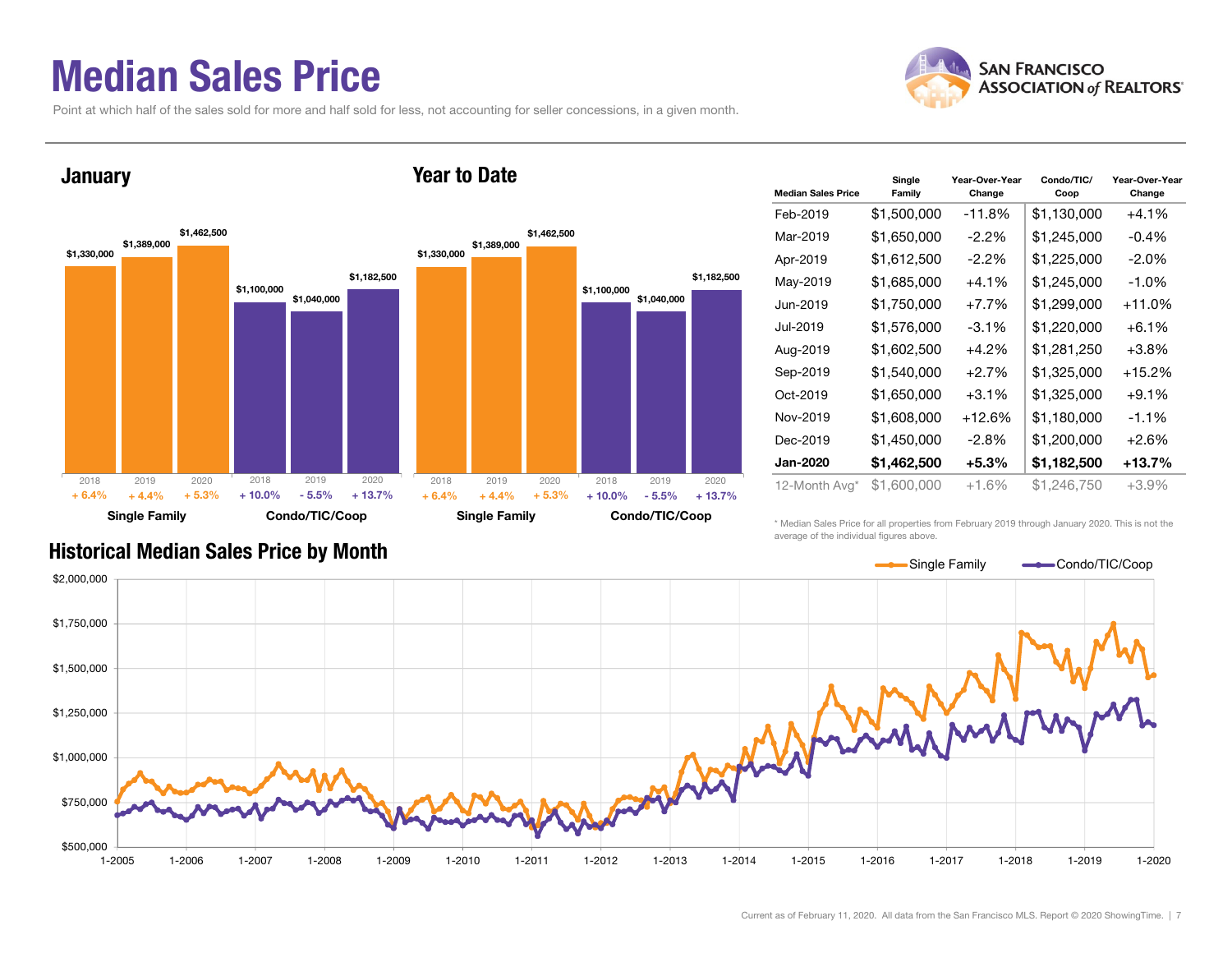### Median Sales Price

Point at which half of the sales sold for more and half sold for less, not accounting for seller concessions, in a given month.



#### **January**





| <b>Median Sales Price</b> | Single<br>Family | Year-Over-Year<br>Change | Condo/TIC/<br>Coop | Year-Over-Year<br>Change |
|---------------------------|------------------|--------------------------|--------------------|--------------------------|
| Feb-2019                  | \$1,500,000      | -11.8%                   | \$1,130,000        | $+4.1%$                  |
| Mar-2019                  | \$1,650,000      | $-2.2\%$                 | \$1,245,000        | $-0.4%$                  |
| Apr-2019                  | \$1,612,500      | -2.2%                    | \$1,225,000        | $-2.0\%$                 |
| May-2019                  | \$1,685,000      | $+4.1%$                  | \$1,245,000        | $-1.0%$                  |
| Jun-2019                  | \$1,750,000      | $+7.7%$                  | \$1,299,000        | +11.0%                   |
| Jul-2019                  | \$1,576,000      | -3.1%                    | \$1,220,000        | $+6.1\%$                 |
| Aug-2019                  | \$1,602,500      | $+4.2%$                  | \$1,281,250        | $+3.8\%$                 |
| Sep-2019                  | \$1,540,000      | $+2.7%$                  | \$1,325,000        | +15.2%                   |
| Oct-2019                  | \$1,650,000      | $+3.1%$                  | \$1,325,000        | $+9.1%$                  |
| Nov-2019                  | \$1,608,000      | $+12.6%$                 | \$1,180,000        | $-1.1%$                  |
| Dec-2019                  | \$1,450,000      | $-2.8\%$                 | \$1,200,000        | $+2.6%$                  |
| <b>Jan-2020</b>           | \$1,462,500      | $+5.3\%$                 | \$1,182,500        | +13.7%                   |
| 12-Month Avg*             | \$1,600,000      | +1.6%                    | \$1,246,750        | $+3.9%$                  |

\* Median Sales Price for all properties from February 2019 through January 2020. This is not the average of the individual figures above.



#### Historical Median Sales Price by Month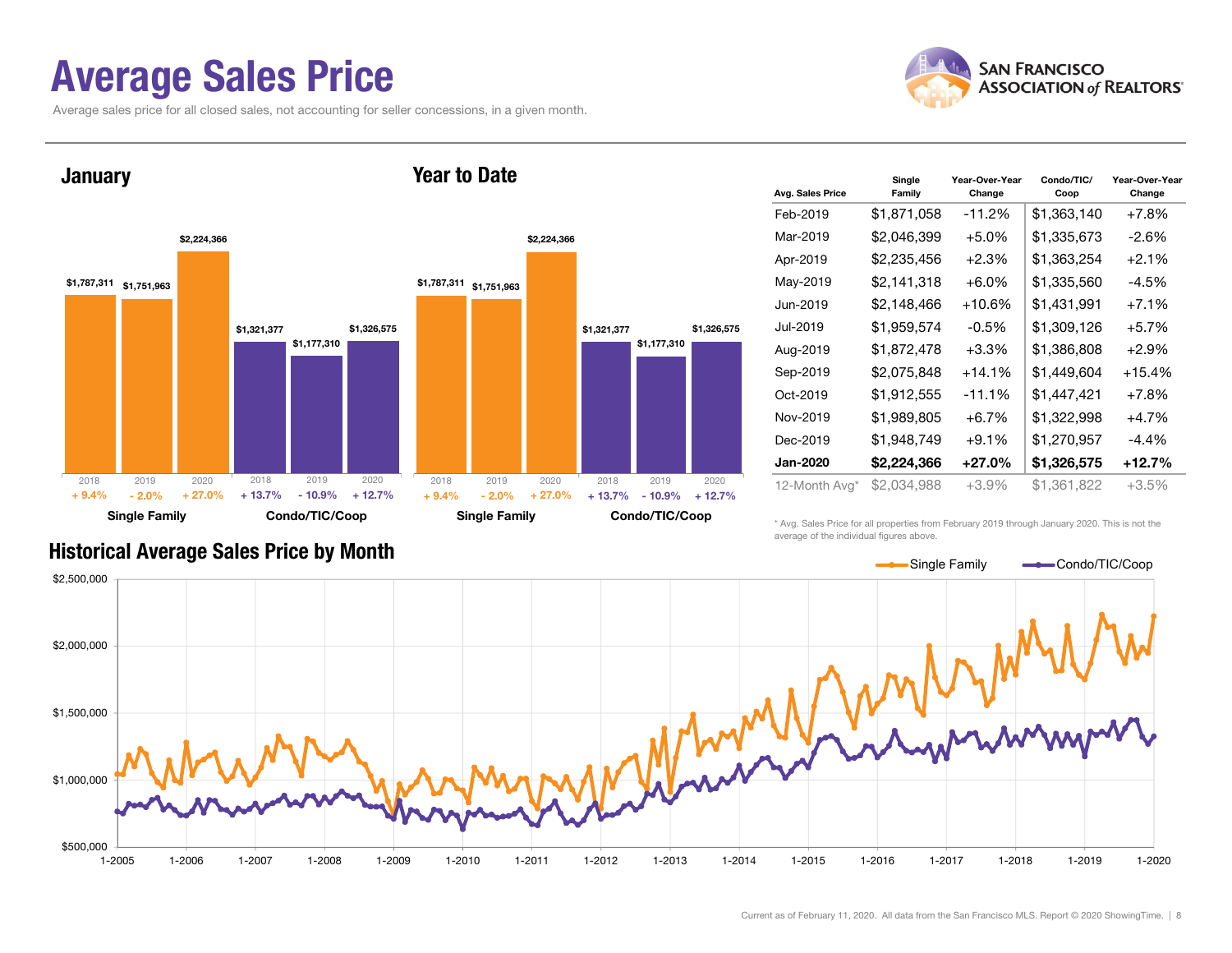### Average Sales Price

Average sales price for all closed sales, not accounting for seller concessions, in a given month.





| Avg. Sales Price | Single<br>Family | Year-Over-Year<br>Change | Condo/TIC/<br>Coop | Year-Over-Year<br>Change |
|------------------|------------------|--------------------------|--------------------|--------------------------|
| Feb-2019         | \$1,871,058      | $-11.2%$                 | \$1,363,140        | $+7.8%$                  |
| Mar-2019         | \$2,046,399      | $+5.0%$                  | \$1,335,673        | $-2.6%$                  |
| Apr-2019         | \$2,235,456      | $+2.3%$                  | \$1,363,254        | $+2.1%$                  |
| May-2019         | \$2,141,318      | $+6.0\%$                 | \$1,335,560        | $-4.5%$                  |
| Jun-2019         | \$2,148,466      | $+10.6%$                 | \$1,431,991        | $+7.1%$                  |
| Jul-2019         | \$1,959,574      | $-0.5%$                  | \$1,309,126        | $+5.7%$                  |
| Aug-2019         | \$1,872,478      | $+3.3%$                  | \$1,386,808        | $+2.9%$                  |
| Sep-2019         | \$2,075,848      | $+14.1%$                 | \$1,449,604        | $+15.4%$                 |
| Oct-2019         | \$1,912,555      | $-11.1%$                 | \$1,447,421        | $+7.8\%$                 |
| Nov-2019         | \$1,989,805      | $+6.7\%$                 | \$1,322,998        | $+4.7%$                  |
| Dec-2019         | \$1,948,749      | $+9.1%$                  | \$1,270,957        | $-4.4\%$                 |
| <b>Jan-2020</b>  | \$2,224,366      | $+27.0%$                 | \$1,326,575        | +12.7%                   |
| 12-Month Avg*    | \$2,034,988      | +3.9%                    | \$1,361,822        | $+3.5%$                  |

#### Historical Average Sales Price by Month

\* Avg. Sales Price for all properties from February 2019 through January 2020. This is not the average of the individual figures above.

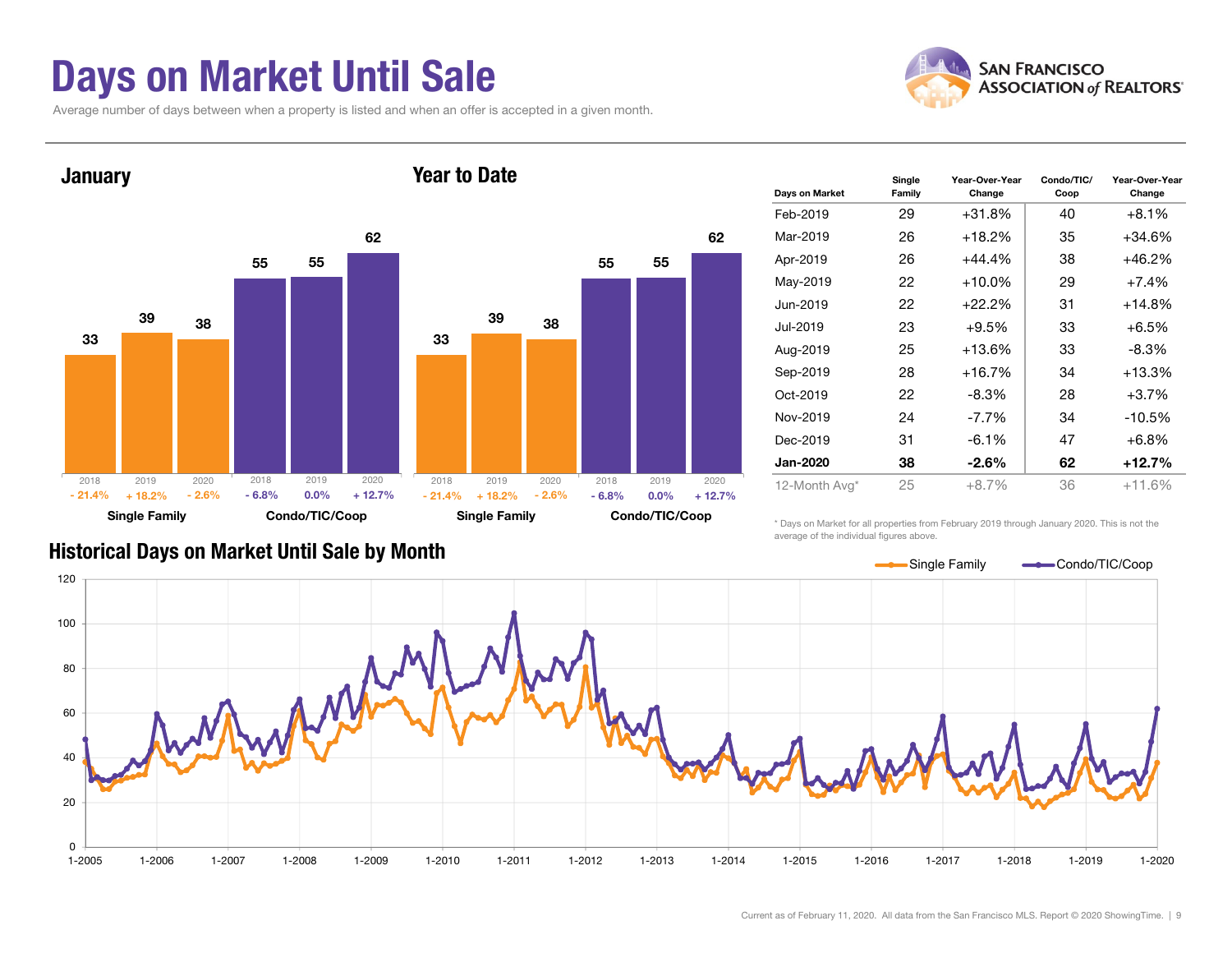### Days on Market Until Sale

Average number of days between when a property is listed and when an offer is accepted in a given month.





| Days on Market  | Single<br>Family | Year-Over-Year<br>Change | Condo/TIC/<br>Coop | Year-Over-Year<br>Change |
|-----------------|------------------|--------------------------|--------------------|--------------------------|
| Feb-2019        | 29               | $+31.8%$                 | 40                 | $+8.1%$                  |
| Mar-2019        | 26               | $+18.2%$                 | 35                 | +34.6%                   |
| Apr-2019        | 26               | $+44.4%$                 | 38                 | +46.2%                   |
| May-2019        | 22               | $+10.0\%$                | 29                 | $+7.4%$                  |
| Jun-2019        | 22               | $+22.2%$                 | 31                 | +14.8%                   |
| Jul-2019        | 23               | $+9.5%$                  | 33                 | $+6.5%$                  |
| Aug-2019        | 25               | $+13.6%$                 | 33                 | -8.3%                    |
| Sep-2019        | 28               | $+16.7%$                 | 34                 | $+13.3%$                 |
| Oct-2019        | 22               | -8.3%                    | 28                 | $+3.7\%$                 |
| Nov-2019        | 24               | -7.7%                    | 34                 | $-10.5%$                 |
| Dec-2019        | 31               | $-6.1\%$                 | 47                 | $+6.8\%$                 |
| <b>Jan-2020</b> | 38               | -2.6%                    | 62                 | +12.7%                   |
| 12-Month Avg*   | 25               | $+8.7%$                  | 36                 | $+11.6%$                 |

\* Days on Market for all properties from February 2019 through January 2020. This is not the average of the individual figures above.



#### Historical Days on Market Until Sale by Month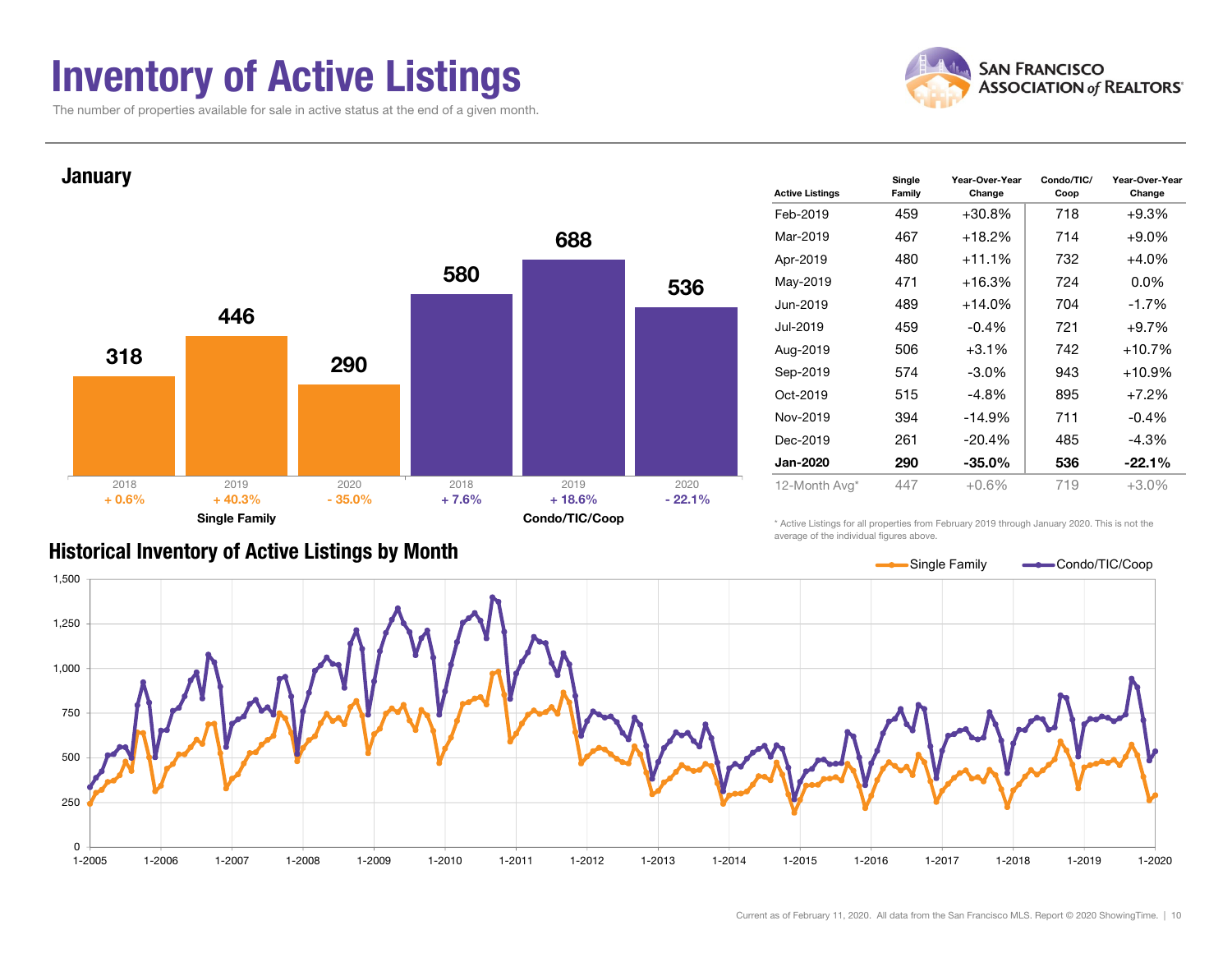### Inventory of Active Listings

The number of properties available for sale in active status at the end of a given month.





|  |  |  |  | <b>Historical Inventory of Active Listings by Month</b> |
|--|--|--|--|---------------------------------------------------------|
|--|--|--|--|---------------------------------------------------------|

| <b>Active Listings</b> | Single<br>Family | Year-Over-Year<br>Change | Condo/TIC/<br>Coop | Year-Over-Year<br>Change |
|------------------------|------------------|--------------------------|--------------------|--------------------------|
| Feb-2019               | 459              | $+30.8%$                 | 718                | $+9.3%$                  |
| Mar-2019               | 467              | $+18.2%$                 | 714                | $+9.0\%$                 |
| Apr-2019               | 480              | $+11.1%$                 | 732                | $+4.0%$                  |
| May-2019               | 471              | $+16.3%$                 | 724                | $0.0\%$                  |
| Jun-2019               | 489              | $+14.0%$                 | 704                | $-1.7%$                  |
| Jul-2019               | 459              | $-0.4%$                  | 721                | $+9.7%$                  |
| Aug-2019               | 506              | $+3.1%$                  | 742                | $+10.7%$                 |
| Sep-2019               | 574              | $-3.0\%$                 | 943                | $+10.9%$                 |
| Oct-2019               | 515              | $-4.8%$                  | 895                | $+7.2%$                  |
| Nov-2019               | 394              | $-14.9%$                 | 711                | $-0.4%$                  |
| Dec-2019               | 261              | -20.4%                   | 485                | $-4.3%$                  |
| <b>Jan-2020</b>        | 290              | -35.0%                   | 536                | $-22.1%$                 |
| 12-Month Avg*          | 447              | $+0.6%$                  | 719                | $+3.0%$                  |

\* Active Listings for all properties from February 2019 through January 2020. This is not the average of the individual figures above.

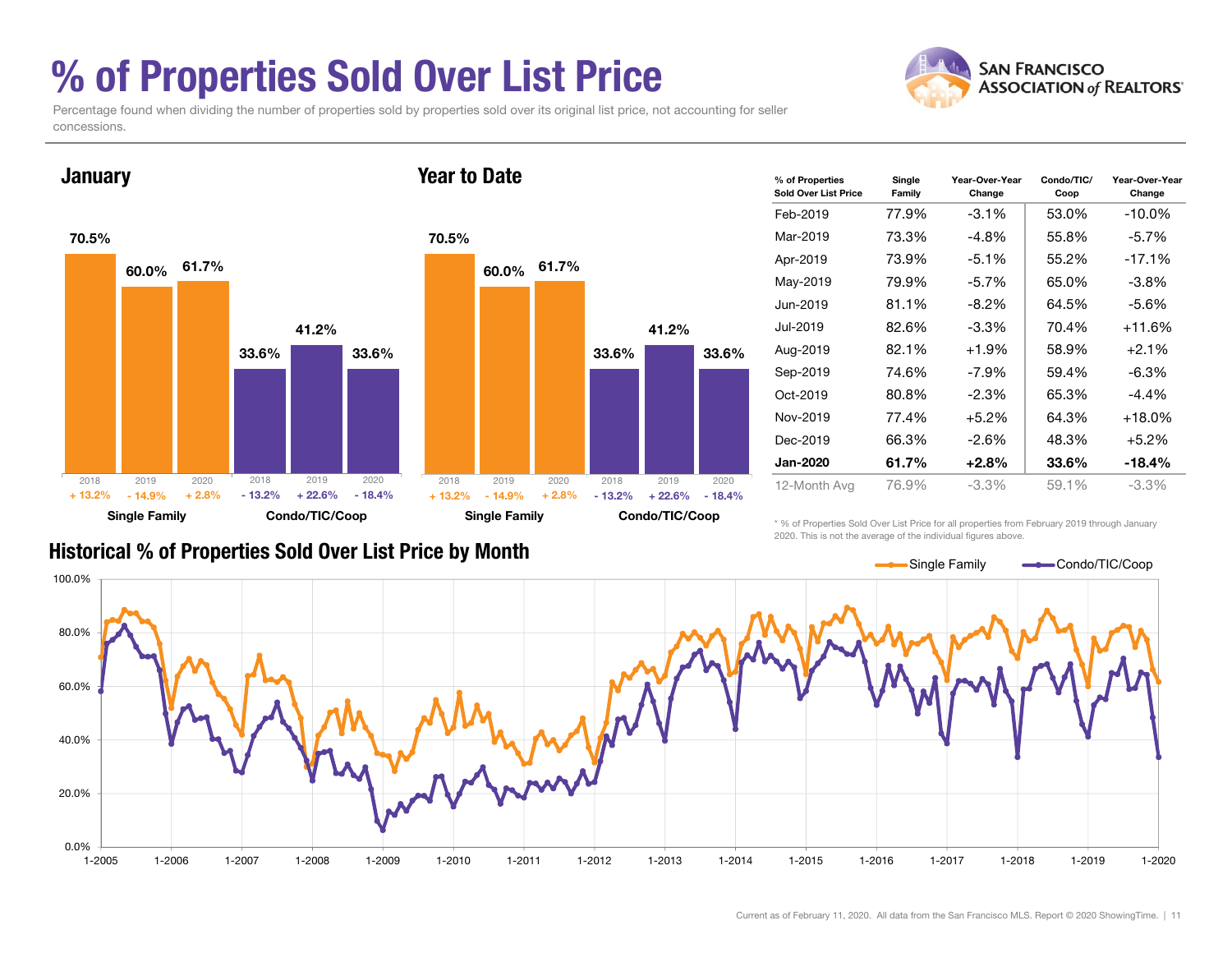## % of Properties Sold Over List Price



Percentage found when dividing the number of properties sold by properties sold over its original list price, not accounting for seller concessions.



| % of Properties<br>Sold Over List Price | Single<br>Family | Year-Over-Year<br>Change | Condo/TIC/<br>Coop | Year-Over-Year<br>Change |
|-----------------------------------------|------------------|--------------------------|--------------------|--------------------------|
| Feb-2019                                | 77.9%            | $-3.1\%$                 | 53.0%              | $-10.0\%$                |
| Mar-2019                                | 73.3%            | -4.8%                    | 55.8%              | $-5.7\%$                 |
| Apr-2019                                | 73.9%            | $-5.1%$                  | 55.2%              | $-17.1%$                 |
| May-2019                                | 79.9%            | $-5.7%$                  | 65.0%              | -3.8%                    |
| Jun-2019                                | 81.1%            | -8.2%                    | 64.5%              | -5.6%                    |
| Jul-2019                                | 82.6%            | $-3.3\%$                 | 70.4%              | +11.6%                   |
| Aug-2019                                | 82.1%            | $+1.9%$                  | 58.9%              | $+2.1\%$                 |
| Sep-2019                                | 74.6%            | -7.9%                    | 59.4%              | -6.3%                    |
| Oct-2019                                | 80.8%            | $-2.3\%$                 | 65.3%              | $-4.4%$                  |
| Nov-2019                                | 77.4%            | $+5.2\%$                 | 64.3%              | +18.0%                   |
| Dec-2019                                | 66.3%            | -2.6%                    | 48.3%              | $+5.2\%$                 |
| <b>Jan-2020</b>                         | 61.7%            | $+2.8\%$                 | 33.6%              | $-18.4%$                 |
| 12-Month Avg                            | 76.9%            | -3.3%                    | 59.1%              | -3.3%                    |

#### Historical % of Properties Sold Over List Price by Month

\* % of Properties Sold Over List Price for all properties from February 2019 through January 2020. This is not the average of the individual figures above.

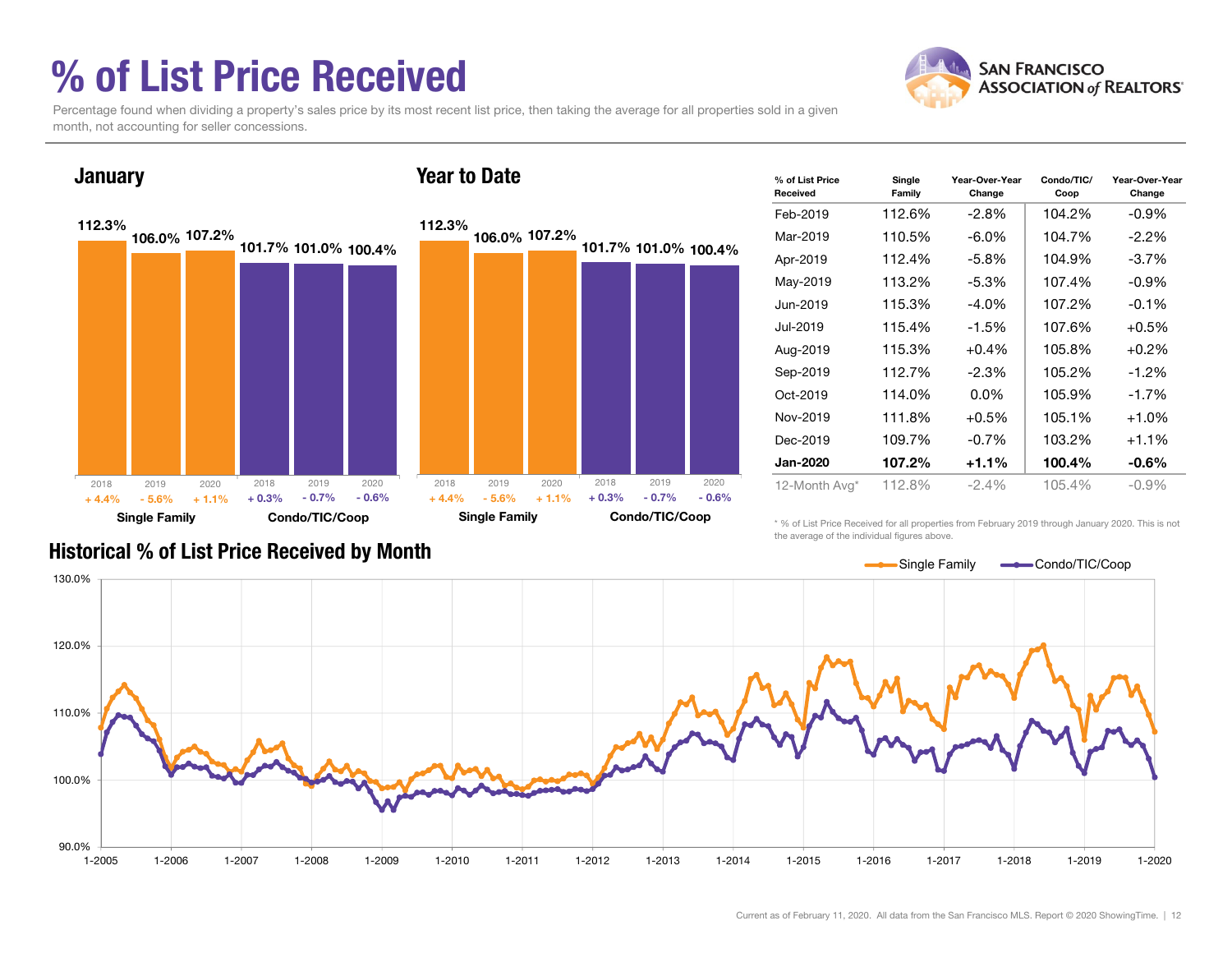# % of List Price Received



Percentage found when dividing a property's sales price by its most recent list price, then taking the average for all properties sold in a given month, not accounting for seller concessions.



| % of List Price<br>Received | Single<br>Family | Year-Over-Year<br>Change | Condo/TIC/<br>Coop | Year-Over-Year<br>Change |
|-----------------------------|------------------|--------------------------|--------------------|--------------------------|
| Feb-2019                    | 112.6%           | -2.8%                    | 104.2%             | $-0.9\%$                 |
| Mar-2019                    | 110.5%           | $-6.0\%$                 | 104.7%             | $-2.2%$                  |
| Apr-2019                    | 112.4%           | $-5.8\%$                 | 104.9%             | $-3.7\%$                 |
| May-2019                    | 113.2%           | $-5.3%$                  | 107.4%             | $-0.9\%$                 |
| Jun-2019                    | 115.3%           | $-4.0\%$                 | 107.2%             | $-0.1%$                  |
| Jul-2019                    | 115.4%           | $-1.5%$                  | 107.6%             | $+0.5%$                  |
| Aug-2019                    | 115.3%           | $+0.4\%$                 | 105.8%             | $+0.2\%$                 |
| Sep-2019                    | 112.7%           | $-2.3%$                  | 105.2%             | $-1.2\%$                 |
| Oct-2019                    | 114.0%           | $0.0\%$                  | 105.9%             | $-1.7%$                  |
| Nov-2019                    | 111.8%           | $+0.5%$                  | 105.1%             | $+1.0%$                  |
| Dec-2019                    | 109.7%           | $-0.7%$                  | 103.2%             | $+1.1%$                  |
| Jan-2020                    | 107.2%           | $+1.1%$                  | 100.4%             | $-0.6\%$                 |
| 12-Month Avg*               | 112.8%           | $-2.4%$                  | 105.4%             | $-0.9%$                  |

\* % of List Price Received for all properties from February 2019 through January 2020. This is not the average of the individual figures above.



#### Historical % of List Price Received by Month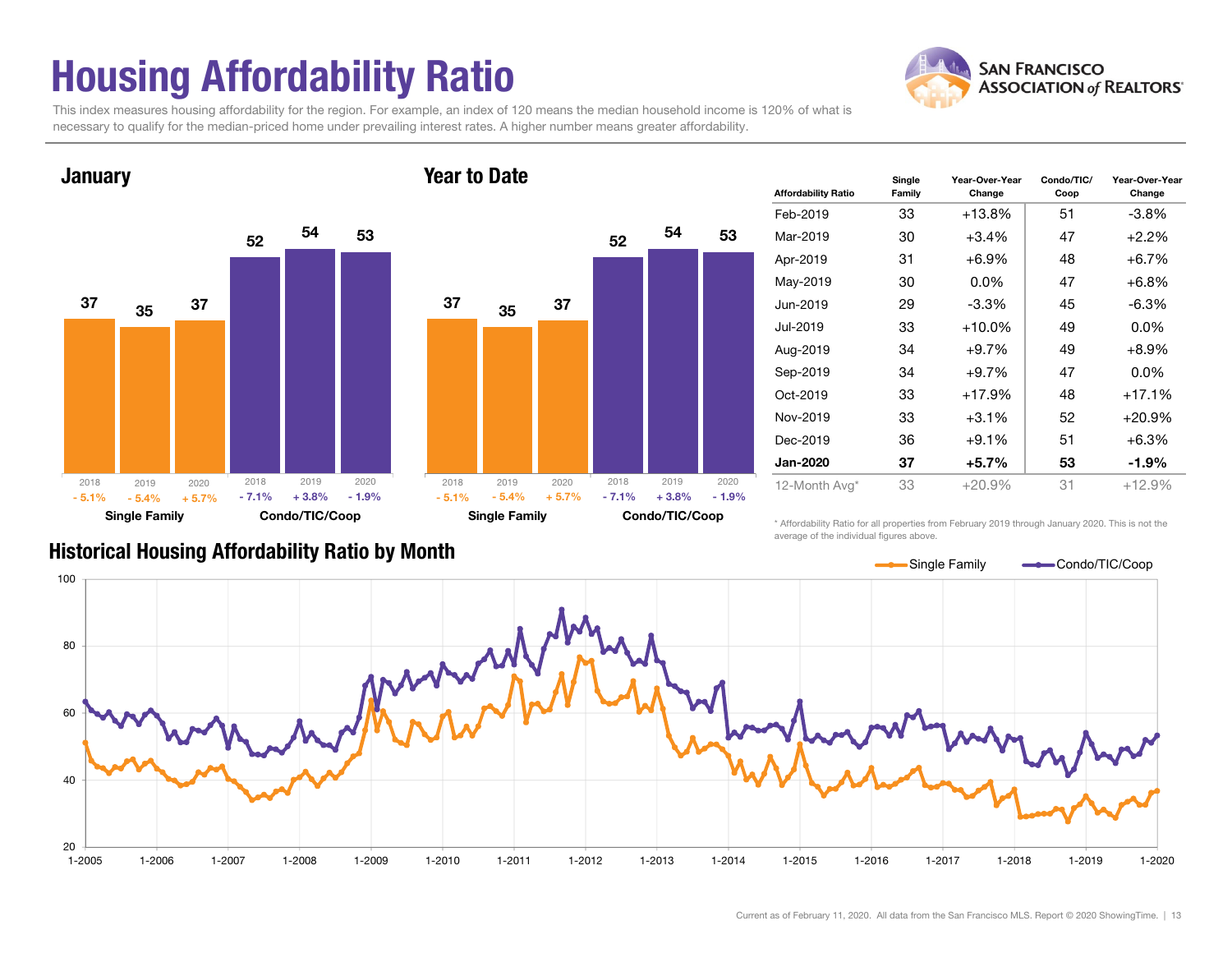# Housing Affordability Ratio

This index measures housing affordability for the region. For example, an index of 120 means the median household income is 120% of what is necessary to qualify for the median-priced home under prevailing interest rates. A higher number means greater affordability.

Year to Date



**January** 



| <b>Affordability Ratio</b> | Single<br>Family | Year-Over-Year<br>Change | Condo/TIC/<br>Coop | Year-Over-Year<br>Change |  |  |
|----------------------------|------------------|--------------------------|--------------------|--------------------------|--|--|
| Feb-2019                   | 33               | $+13.8\%$                | 51                 | $-3.8\%$                 |  |  |
| Mar-2019                   | 30               | +3.4%                    | 47                 | $+2.2%$                  |  |  |
| Apr-2019                   | 31               | $+6.9\%$                 | 48                 | $+6.7%$                  |  |  |
| May-2019                   | 30               | $0.0\%$                  | 47                 | $+6.8%$                  |  |  |
| Jun-2019                   | 29               | $-3.3\%$                 | 45                 | $-6.3\%$                 |  |  |
| Jul-2019                   | 33               | $+10.0\%$                | 49                 | $0.0\%$                  |  |  |
| Aug-2019                   | 34               | +9.7%                    | 49                 | $+8.9%$                  |  |  |
| Sep-2019                   | 34               | $+9.7%$                  | 47                 | $0.0\%$                  |  |  |
| Oct-2019                   | 33               | $+17.9%$                 | 48                 | +17.1%                   |  |  |
| Nov-2019                   | 33               | $+3.1\%$                 | 52                 | $+20.9\%$                |  |  |
| Dec-2019                   | 36               | $+9.1%$                  | 51                 | $+6.3%$                  |  |  |
| <b>Jan-2020</b>            | 37               | +5.7%                    | 53                 | $-1.9\%$                 |  |  |
| 12-Month Avg*              | 33               | $+20.9%$                 | 31                 | $+12.9%$                 |  |  |

Historical Housing Affordability Ratio by Month

\* Affordability Ratio for all properties from February 2019 through January 2020. This is not the average of the individual figures above.



**SAN FRANCISCO ASSOCIATION of REALTORS'**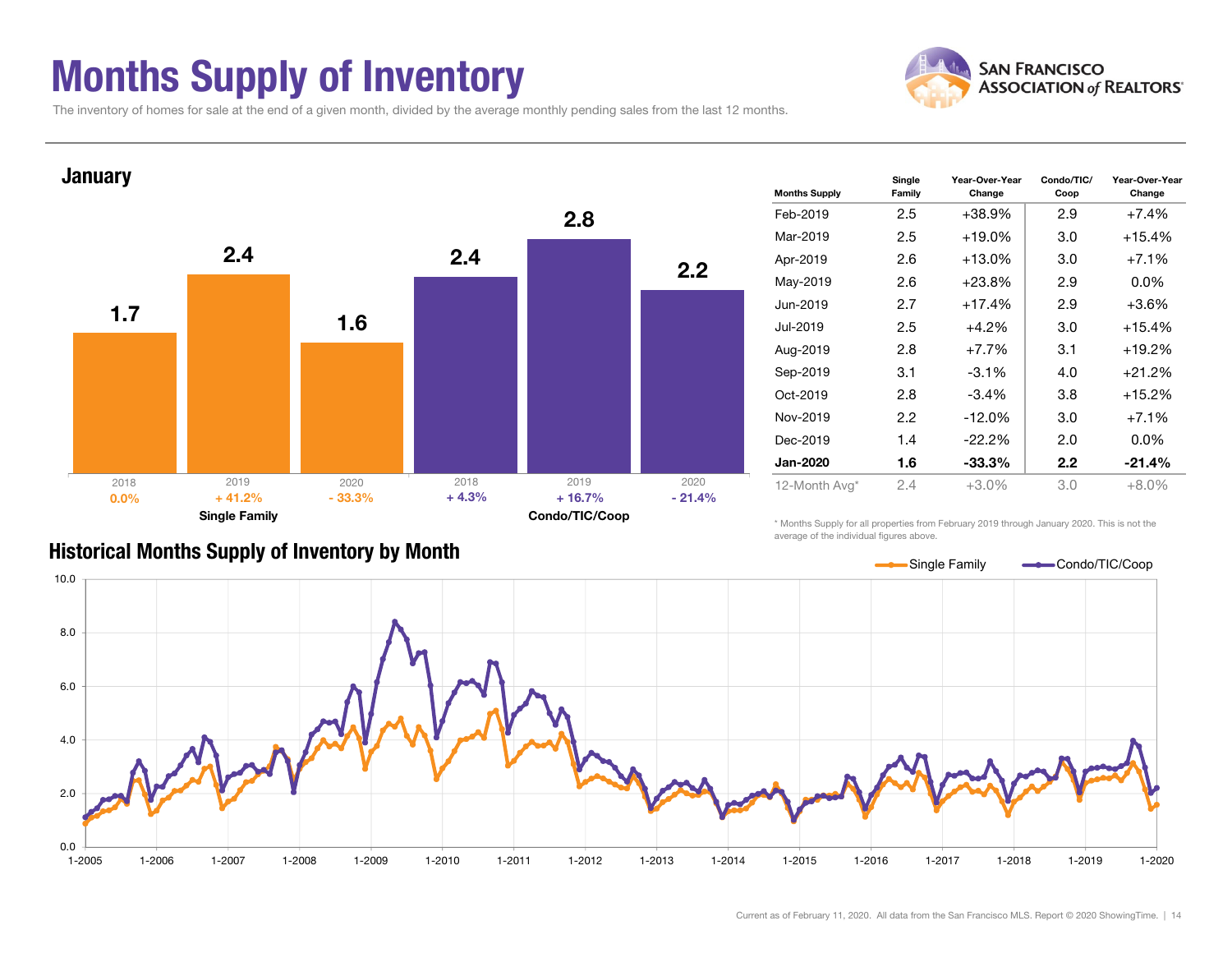### Months Supply of Inventory



The inventory of homes for sale at the end of a given month, divided by the average monthly pending sales from the last 12 months.



| <b>Months Supply</b> | Single<br>Family | Year-Over-Year<br>Change | Condo/TIC/<br>Coop | Year-Over-Year<br>Change |  |  |
|----------------------|------------------|--------------------------|--------------------|--------------------------|--|--|
| Feb-2019             | 2.5              | $+38.9%$                 | 2.9                | $+7.4%$                  |  |  |
| Mar-2019             | 2.5              | $+19.0%$                 | 3.0                | $+15.4%$                 |  |  |
| Apr-2019             | 2.6              | $+13.0%$                 | 3.0                | $+7.1%$                  |  |  |
| May-2019             | 2.6              | $+23.8%$                 | 2.9                | $0.0\%$                  |  |  |
| Jun-2019             | 2.7              | $+17.4%$                 | 2.9                | $+3.6%$                  |  |  |
| Jul-2019             | 2.5              | $+4.2%$                  | 3.0                | $+15.4%$                 |  |  |
| Aug-2019             | 2.8              | $+7.7\%$                 | 3.1                | $+19.2%$                 |  |  |
| Sep-2019             | 3.1              | $-3.1\%$                 | 4.0                | $+21.2%$                 |  |  |
| Oct-2019             | 2.8              | $-3.4\%$                 | 3.8                | $+15.2%$                 |  |  |
| Nov-2019             | 2.2              | $-12.0%$                 | 3.0                | $+7.1\%$                 |  |  |
| Dec-2019             | 1.4              | -22.2%                   | 2.0                | $0.0\%$                  |  |  |
| Jan-2020             | 1.6              | $-33.3%$                 | $2.2\phantom{0}$   | $-21.4%$                 |  |  |
| 12-Month Avg*        | 2.4              | $+3.0\%$                 | 3.0                | $+8.0\%$                 |  |  |

\* Months Supply for all properties from February 2019 through January 2020. This is not the average of the individual figures above.

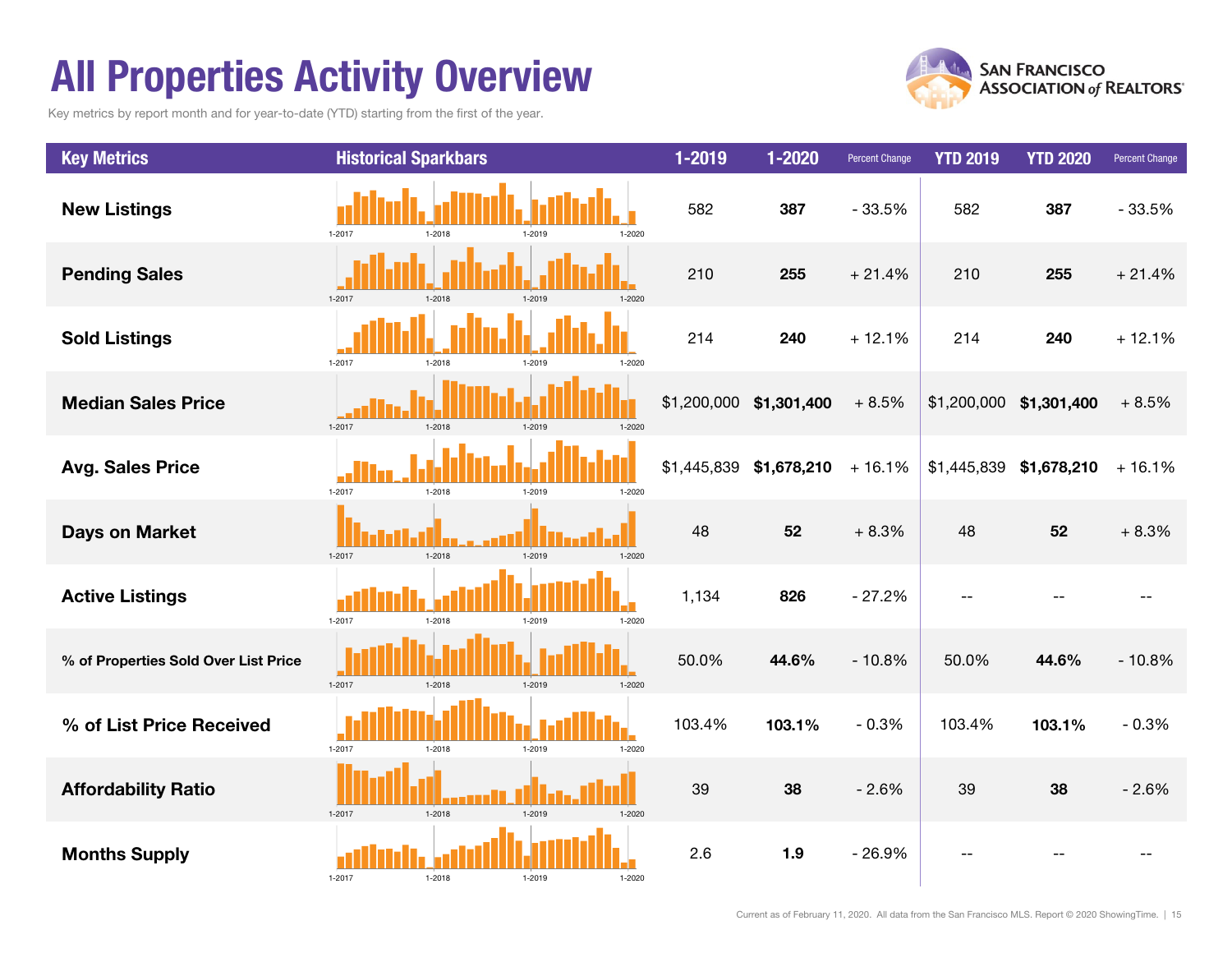# All Properties Activity Overview

Key metrics by report month and for year-to-date (YTD) starting from the first of the year.